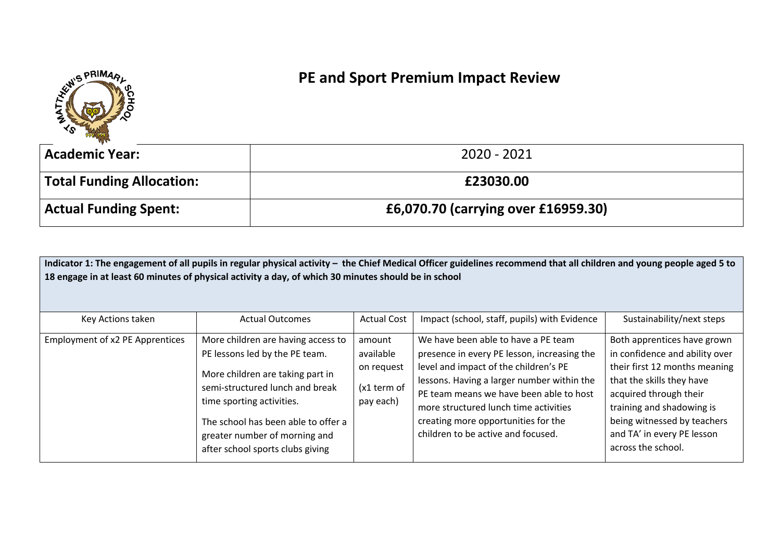

## **PE and Sport Premium Impact Review**

| <b>Academic Year:</b>            | 2020 - 2021                         |
|----------------------------------|-------------------------------------|
| <b>Total Funding Allocation:</b> | £23030.00                           |
| <b>Actual Funding Spent:</b>     | £6,070.70 (carrying over £16959.30) |

|                                 | 18 engage in at least 60 minutes of physical activity a day, of which 30 minutes should be in school                                                                                                                                                                                 |                                                               | Indicator 1: The engagement of all pupils in regular physical activity - the Chief Medical Officer guidelines recommend that all children and young people aged 5 to                                                                                                                                                                       |                                                                                                                                                                                                                                                                       |
|---------------------------------|--------------------------------------------------------------------------------------------------------------------------------------------------------------------------------------------------------------------------------------------------------------------------------------|---------------------------------------------------------------|--------------------------------------------------------------------------------------------------------------------------------------------------------------------------------------------------------------------------------------------------------------------------------------------------------------------------------------------|-----------------------------------------------------------------------------------------------------------------------------------------------------------------------------------------------------------------------------------------------------------------------|
| Key Actions taken               | <b>Actual Outcomes</b>                                                                                                                                                                                                                                                               | <b>Actual Cost</b>                                            | Impact (school, staff, pupils) with Evidence                                                                                                                                                                                                                                                                                               | Sustainability/next steps                                                                                                                                                                                                                                             |
| Employment of x2 PE Apprentices | More children are having access to<br>PE lessons led by the PE team.<br>More children are taking part in<br>semi-structured lunch and break<br>time sporting activities.<br>The school has been able to offer a<br>greater number of morning and<br>after school sports clubs giving | amount<br>available<br>on request<br>(x1 term of<br>pay each) | We have been able to have a PE team<br>presence in every PE lesson, increasing the<br>level and impact of the children's PE<br>lessons. Having a larger number within the<br>PE team means we have been able to host<br>more structured lunch time activities<br>creating more opportunities for the<br>children to be active and focused. | Both apprentices have grown<br>in confidence and ability over<br>their first 12 months meaning<br>that the skills they have<br>acquired through their<br>training and shadowing is<br>being witnessed by teachers<br>and TA' in every PE lesson<br>across the school. |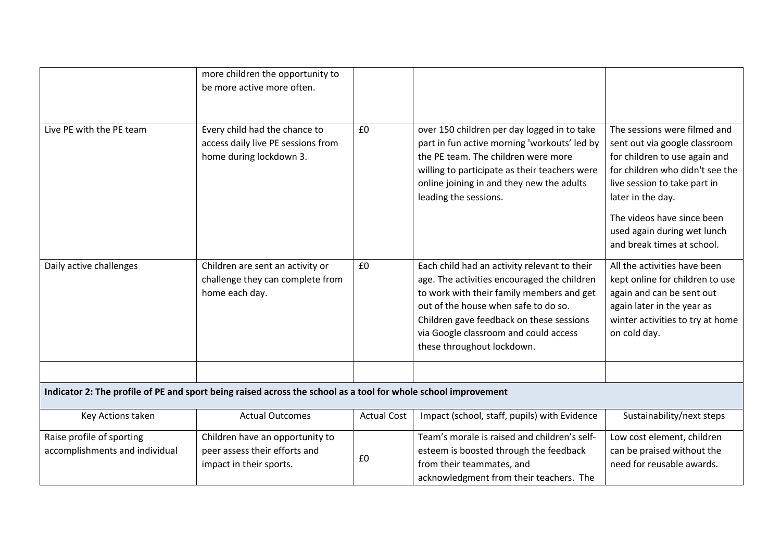|                                                                                                                | more children the opportunity to<br>be more active more often.                                 |                    |                                                                                                                                                                                                                                                                                                     |                                                                                                                                                                                                                                                                                   |
|----------------------------------------------------------------------------------------------------------------|------------------------------------------------------------------------------------------------|--------------------|-----------------------------------------------------------------------------------------------------------------------------------------------------------------------------------------------------------------------------------------------------------------------------------------------------|-----------------------------------------------------------------------------------------------------------------------------------------------------------------------------------------------------------------------------------------------------------------------------------|
| Live PE with the PE team                                                                                       | Every child had the chance to<br>access daily live PE sessions from<br>home during lockdown 3. | £0                 | over 150 children per day logged in to take<br>part in fun active morning 'workouts' led by<br>the PE team. The children were more<br>willing to participate as their teachers were<br>online joining in and they new the adults<br>leading the sessions.                                           | The sessions were filmed and<br>sent out via google classroom<br>for children to use again and<br>for children who didn't see the<br>live session to take part in<br>later in the day.<br>The videos have since been<br>used again during wet lunch<br>and break times at school. |
| Daily active challenges                                                                                        | Children are sent an activity or<br>challenge they can complete from<br>home each day.         | £0                 | Each child had an activity relevant to their<br>age. The activities encouraged the children<br>to work with their family members and get<br>out of the house when safe to do so.<br>Children gave feedback on these sessions<br>via Google classroom and could access<br>these throughout lockdown. | All the activities have been<br>kept online for children to use<br>again and can be sent out<br>again later in the year as<br>winter activities to try at home<br>on cold day.                                                                                                    |
| Indicator 2: The profile of PE and sport being raised across the school as a tool for whole school improvement |                                                                                                |                    |                                                                                                                                                                                                                                                                                                     |                                                                                                                                                                                                                                                                                   |
| Key Actions taken                                                                                              | <b>Actual Outcomes</b>                                                                         | <b>Actual Cost</b> | Impact (school, staff, pupils) with Evidence                                                                                                                                                                                                                                                        | Sustainability/next steps                                                                                                                                                                                                                                                         |
| Raise profile of sporting<br>accomplishments and individual                                                    | Children have an opportunity to<br>peer assess their efforts and<br>impact in their sports.    | £0                 | Team's morale is raised and children's self-<br>esteem is boosted through the feedback<br>from their teammates, and<br>acknowledgment from their teachers. The                                                                                                                                      | Low cost element, children<br>can be praised without the<br>need for reusable awards.                                                                                                                                                                                             |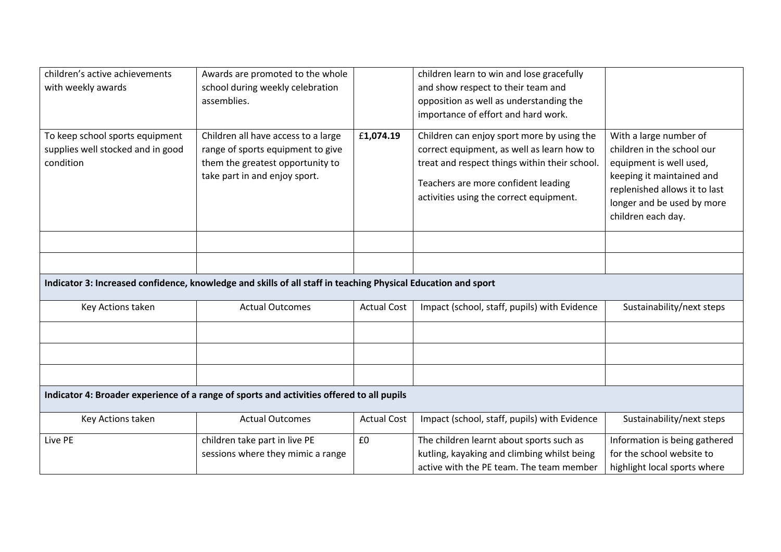| children's active achievements                                                                                | Awards are promoted to the whole    |                    | children learn to win and lose gracefully     |                               |  |
|---------------------------------------------------------------------------------------------------------------|-------------------------------------|--------------------|-----------------------------------------------|-------------------------------|--|
| with weekly awards                                                                                            | school during weekly celebration    |                    | and show respect to their team and            |                               |  |
|                                                                                                               | assemblies.                         |                    | opposition as well as understanding the       |                               |  |
|                                                                                                               |                                     |                    | importance of effort and hard work.           |                               |  |
| To keep school sports equipment                                                                               | Children all have access to a large | £1,074.19          | Children can enjoy sport more by using the    | With a large number of        |  |
| supplies well stocked and in good                                                                             | range of sports equipment to give   |                    | correct equipment, as well as learn how to    | children in the school our    |  |
| condition                                                                                                     | them the greatest opportunity to    |                    | treat and respect things within their school. | equipment is well used,       |  |
|                                                                                                               | take part in and enjoy sport.       |                    |                                               | keeping it maintained and     |  |
|                                                                                                               |                                     |                    | Teachers are more confident leading           | replenished allows it to last |  |
|                                                                                                               |                                     |                    | activities using the correct equipment.       | longer and be used by more    |  |
|                                                                                                               |                                     |                    |                                               | children each day.            |  |
|                                                                                                               |                                     |                    |                                               |                               |  |
|                                                                                                               |                                     |                    |                                               |                               |  |
|                                                                                                               |                                     |                    |                                               |                               |  |
| Indicator 3: Increased confidence, knowledge and skills of all staff in teaching Physical Education and sport |                                     |                    |                                               |                               |  |
| Key Actions taken                                                                                             | <b>Actual Outcomes</b>              | <b>Actual Cost</b> | Impact (school, staff, pupils) with Evidence  | Sustainability/next steps     |  |
|                                                                                                               |                                     |                    |                                               |                               |  |
|                                                                                                               |                                     |                    |                                               |                               |  |
|                                                                                                               |                                     |                    |                                               |                               |  |
| Indicator 4: Broader experience of a range of sports and activities offered to all pupils                     |                                     |                    |                                               |                               |  |
| Key Actions taken                                                                                             | <b>Actual Outcomes</b>              | <b>Actual Cost</b> | Impact (school, staff, pupils) with Evidence  | Sustainability/next steps     |  |
| Live PE                                                                                                       | children take part in live PE       | £0                 | The children learnt about sports such as      | Information is being gathered |  |
|                                                                                                               | sessions where they mimic a range   |                    | kutling, kayaking and climbing whilst being   | for the school website to     |  |
|                                                                                                               |                                     |                    |                                               |                               |  |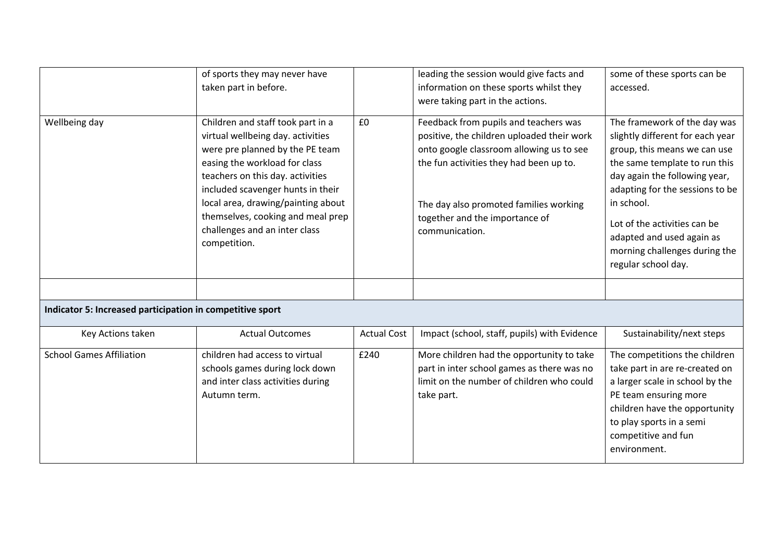|                                                           | of sports they may never have<br>taken part in before.                                                                                                                                                                                                                                                                                          |                    | leading the session would give facts and<br>information on these sports whilst they<br>were taking part in the actions.                                                                                                                                                  | some of these sports can be<br>accessed.                                                                                                                                                                                                                                                                                                 |  |
|-----------------------------------------------------------|-------------------------------------------------------------------------------------------------------------------------------------------------------------------------------------------------------------------------------------------------------------------------------------------------------------------------------------------------|--------------------|--------------------------------------------------------------------------------------------------------------------------------------------------------------------------------------------------------------------------------------------------------------------------|------------------------------------------------------------------------------------------------------------------------------------------------------------------------------------------------------------------------------------------------------------------------------------------------------------------------------------------|--|
| Wellbeing day                                             | Children and staff took part in a<br>virtual wellbeing day. activities<br>were pre planned by the PE team<br>easing the workload for class<br>teachers on this day. activities<br>included scavenger hunts in their<br>local area, drawing/painting about<br>themselves, cooking and meal prep<br>challenges and an inter class<br>competition. | £0                 | Feedback from pupils and teachers was<br>positive, the children uploaded their work<br>onto google classroom allowing us to see<br>the fun activities they had been up to.<br>The day also promoted families working<br>together and the importance of<br>communication. | The framework of the day was<br>slightly different for each year<br>group, this means we can use<br>the same template to run this<br>day again the following year,<br>adapting for the sessions to be<br>in school.<br>Lot of the activities can be<br>adapted and used again as<br>morning challenges during the<br>regular school day. |  |
|                                                           |                                                                                                                                                                                                                                                                                                                                                 |                    |                                                                                                                                                                                                                                                                          |                                                                                                                                                                                                                                                                                                                                          |  |
| Indicator 5: Increased participation in competitive sport |                                                                                                                                                                                                                                                                                                                                                 |                    |                                                                                                                                                                                                                                                                          |                                                                                                                                                                                                                                                                                                                                          |  |
| Key Actions taken                                         | <b>Actual Outcomes</b>                                                                                                                                                                                                                                                                                                                          | <b>Actual Cost</b> | Impact (school, staff, pupils) with Evidence                                                                                                                                                                                                                             | Sustainability/next steps                                                                                                                                                                                                                                                                                                                |  |
| <b>School Games Affiliation</b>                           | children had access to virtual<br>schools games during lock down<br>and inter class activities during<br>Autumn term.                                                                                                                                                                                                                           | £240               | More children had the opportunity to take<br>part in inter school games as there was no<br>limit on the number of children who could<br>take part.                                                                                                                       | The competitions the children<br>take part in are re-created on<br>a larger scale in school by the<br>PE team ensuring more<br>children have the opportunity<br>to play sports in a semi<br>competitive and fun<br>environment.                                                                                                          |  |